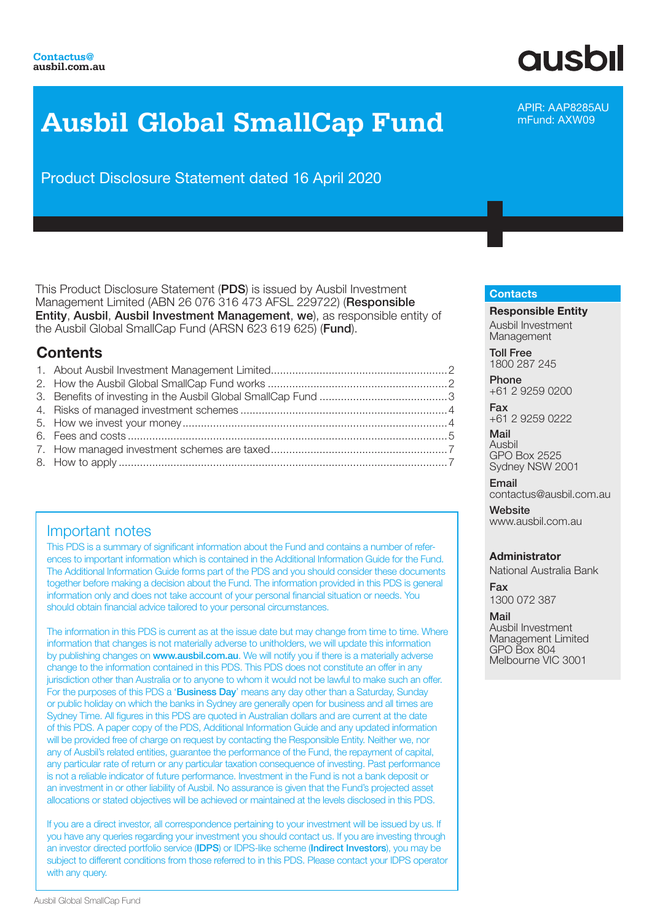# **Ausbil Global SmallCap Fund**

Product Disclosure Statement dated 16 April 2020

This Product Disclosure Statement (PDS) is issued by Ausbil Investment Management Limited (ABN 26 076 316 473 AFSL 229722) (Responsible Entity, Ausbil, Ausbil Investment Management, we), as responsible entity of the Ausbil Global SmallCap Fund (ARSN 623 619 625) (Fund).

# **Contents**

# Important notes

This PDS is a summary of significant information about the Fund and contains a number of references to important information which is contained in the Additional Information Guide for the Fund. The Additional Information Guide forms part of the PDS and you should consider these documents together before making a decision about the Fund. The information provided in this PDS is general information only and does not take account of your personal financial situation or needs. You should obtain financial advice tailored to your personal circumstances.

The information in this PDS is current as at the issue date but may change from time to time. Where information that changes is not materially adverse to unitholders, we will update this information by publishing changes on www.ausbil.com.au. We will notify you if there is a materially adverse change to the information contained in this PDS. This PDS does not constitute an offer in any jurisdiction other than Australia or to anyone to whom it would not be lawful to make such an offer. For the purposes of this PDS a 'Business Day' means any day other than a Saturday, Sunday or public holiday on which the banks in Sydney are generally open for business and all times are Sydney Time. All figures in this PDS are quoted in Australian dollars and are current at the date of this PDS. A paper copy of the PDS, Additional Information Guide and any updated information will be provided free of charge on request by contacting the Responsible Entity. Neither we, nor any of Ausbil's related entities, guarantee the performance of the Fund, the repayment of capital, any particular rate of return or any particular taxation consequence of investing. Past performance is not a reliable indicator of future performance. Investment in the Fund is not a bank deposit or an investment in or other liability of Ausbil. No assurance is given that the Fund's projected asset allocations or stated objectives will be achieved or maintained at the levels disclosed in this PDS.

If you are a direct investor, all correspondence pertaining to your investment will be issued by us. If you have any queries regarding your investment you should contact us. If you are investing through an investor directed portfolio service (IDPS) or IDPS-like scheme (Indirect Investors), you may be subject to different conditions from those referred to in this PDS. Please contact your IDPS operator with any query.

# APIR: AAP8285AU

**ausbil** 

mFund: AXW09

#### **Contacts**

Responsible Entity Ausbil Investment Management

Toll Free 1800 287 245

Phone +61 2 9259 0200

Fax +61 2 9259 0222

Mail Ausbil GPO Box 2525 Sydney NSW 2001

Email contactus@ausbil.com.au

**Website** www.ausbil.com.au

## Administrator

National Australia Bank

Fax 1300 072 387

Mail Ausbil Investment Management Limited GPO Box 804 Melbourne VIC 3001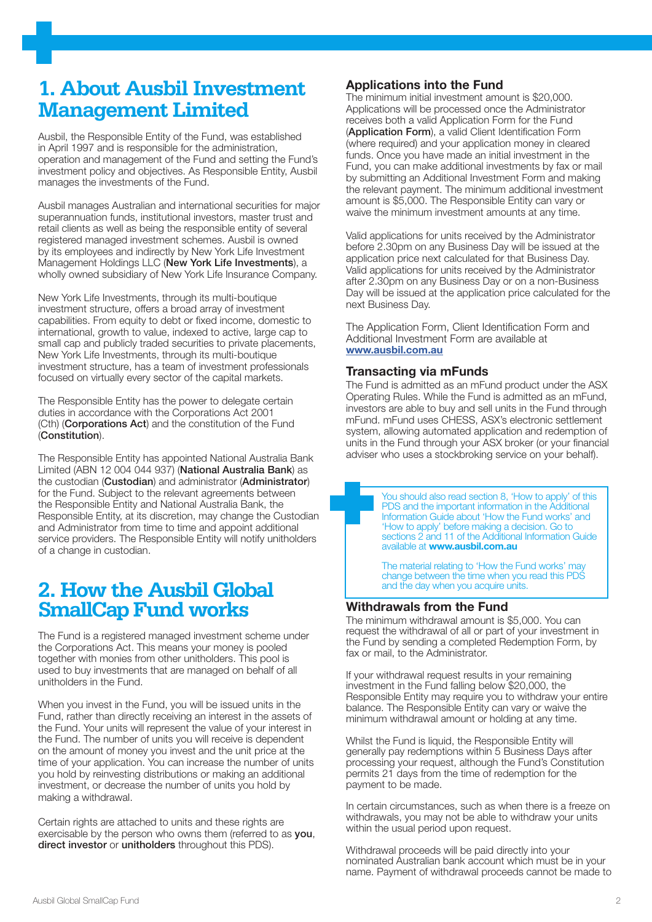# **1. About Ausbil Investment Management Limited**

Ausbil, the Responsible Entity of the Fund, was established in April 1997 and is responsible for the administration, operation and management of the Fund and setting the Fund's investment policy and objectives. As Responsible Entity, Ausbil manages the investments of the Fund.

Ausbil manages Australian and international securities for major superannuation funds, institutional investors, master trust and retail clients as well as being the responsible entity of several registered managed investment schemes. Ausbil is owned by its employees and indirectly by New York Life Investment Management Holdings LLC (New York Life Investments), a wholly owned subsidiary of New York Life Insurance Company.

New York Life Investments, through its multi-boutique investment structure, offers a broad array of investment capabilities. From equity to debt or fixed income, domestic to international, growth to value, indexed to active, large cap to small cap and publicly traded securities to private placements, New York Life Investments, through its multi-boutique investment structure, has a team of investment professionals focused on virtually every sector of the capital markets.

The Responsible Entity has the power to delegate certain duties in accordance with the Corporations Act 2001 (Cth) (Corporations Act) and the constitution of the Fund (Constitution).

The Responsible Entity has appointed National Australia Bank Limited (ABN 12 004 044 937) (National Australia Bank) as the custodian (Custodian) and administrator (Administrator) for the Fund. Subject to the relevant agreements between the Responsible Entity and National Australia Bank, the Responsible Entity, at its discretion, may change the Custodian and Administrator from time to time and appoint additional service providers. The Responsible Entity will notify unitholders of a change in custodian.

# **2. How the Ausbil Global SmallCap Fund works**

The Fund is a registered managed investment scheme under the Corporations Act. This means your money is pooled together with monies from other unitholders. This pool is used to buy investments that are managed on behalf of all unitholders in the Fund.

When you invest in the Fund, you will be issued units in the Fund, rather than directly receiving an interest in the assets of the Fund. Your units will represent the value of your interest in the Fund. The number of units you will receive is dependent on the amount of money you invest and the unit price at the time of your application. You can increase the number of units you hold by reinvesting distributions or making an additional investment, or decrease the number of units you hold by making a withdrawal.

Certain rights are attached to units and these rights are exercisable by the person who owns them (referred to as you, direct investor or unitholders throughout this PDS).

# Applications into the Fund

The minimum initial investment amount is \$20,000. Applications will be processed once the Administrator receives both a valid Application Form for the Fund (Application Form), a valid Client Identification Form (where required) and your application money in cleared funds. Once you have made an initial investment in the Fund, you can make additional investments by fax or mail by submitting an Additional Investment Form and making the relevant payment. The minimum additional investment amount is \$5,000. The Responsible Entity can vary or waive the minimum investment amounts at any time.

Valid applications for units received by the Administrator before 2.30pm on any Business Day will be issued at the application price next calculated for that Business Day. Valid applications for units received by the Administrator after 2.30pm on any Business Day or on a non-Business Day will be issued at the application price calculated for the next Business Day.

The Application Form, Client Identification Form and Additional Investment Form are available at www.ausbil.com.au

# Transacting via mFunds

The Fund is admitted as an mFund product under the ASX Operating Rules. While the Fund is admitted as an mFund, investors are able to buy and sell units in the Fund through mFund. mFund uses CHESS, ASX's electronic settlement system, allowing automated application and redemption of units in the Fund through your ASX broker (or your financial adviser who uses a stockbroking service on your behalf).

> You should also read section 8, 'How to apply' of this PDS and the important information in the Additional Information Guide about 'How the Fund works' and 'How to apply' before making a decision. Go to sections 2 and 11 of the Additional Information Guide available at www.ausbil.com.au

The material relating to 'How the Fund works' may change between the time when you read this PDS and the day when you acquire units.

## Withdrawals from the Fund

The minimum withdrawal amount is \$5,000. You can request the withdrawal of all or part of your investment in the Fund by sending a completed Redemption Form, by fax or mail, to the Administrator.

If your withdrawal request results in your remaining investment in the Fund falling below \$20,000, the Responsible Entity may require you to withdraw your entire balance. The Responsible Entity can vary or waive the minimum withdrawal amount or holding at any time.

Whilst the Fund is liquid, the Responsible Entity will generally pay redemptions within 5 Business Days after processing your request, although the Fund's Constitution permits 21 days from the time of redemption for the payment to be made.

In certain circumstances, such as when there is a freeze on withdrawals, you may not be able to withdraw your units within the usual period upon request.

Withdrawal proceeds will be paid directly into your nominated Australian bank account which must be in your name. Payment of withdrawal proceeds cannot be made to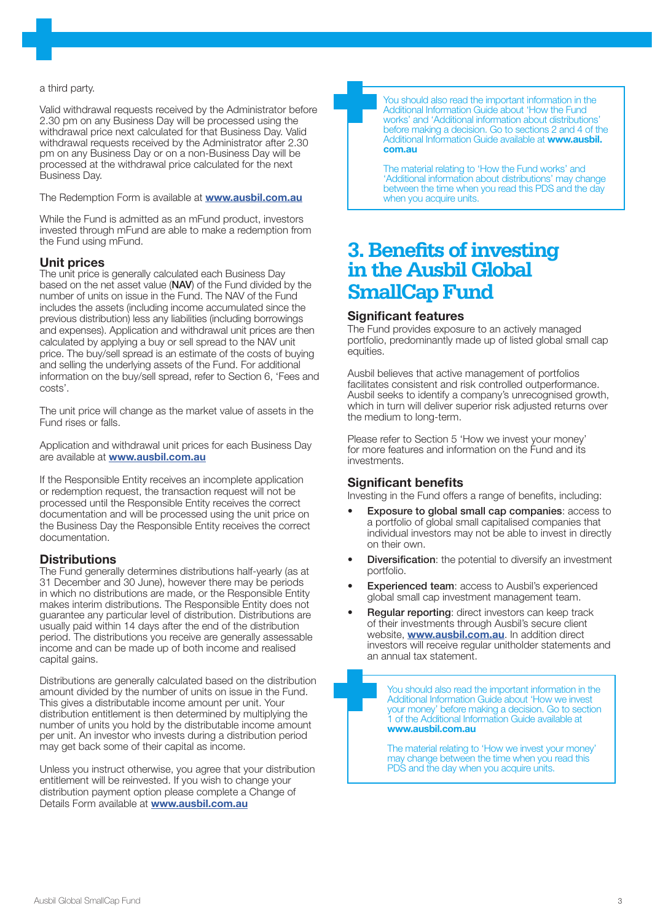#### a third party.

Valid withdrawal requests received by the Administrator before 2.30 pm on any Business Day will be processed using the withdrawal price next calculated for that Business Day. Valid withdrawal requests received by the Administrator after 2.30 pm on any Business Day or on a non-Business Day will be processed at the withdrawal price calculated for the next Business Day.

The Redemption Form is available at **www.ausbil.com.au** 

While the Fund is admitted as an mFund product, investors invested through mFund are able to make a redemption from the Fund using mFund.

#### Unit prices

The unit price is generally calculated each Business Day based on the net asset value (NAV) of the Fund divided by the number of units on issue in the Fund. The NAV of the Fund includes the assets (including income accumulated since the previous distribution) less any liabilities (including borrowings and expenses). Application and withdrawal unit prices are then calculated by applying a buy or sell spread to the NAV unit price. The buy/sell spread is an estimate of the costs of buying and selling the underlying assets of the Fund. For additional information on the buy/sell spread, refer to Section 6, 'Fees and costs'.

The unit price will change as the market value of assets in the Fund rises or falls.

Application and withdrawal unit prices for each Business Day are available at **www.ausbil.com.au** 

If the Responsible Entity receives an incomplete application or redemption request, the transaction request will not be processed until the Responsible Entity receives the correct documentation and will be processed using the unit price on the Business Day the Responsible Entity receives the correct documentation.

## **Distributions**

The Fund generally determines distributions half-yearly (as at 31 December and 30 June), however there may be periods in which no distributions are made, or the Responsible Entity makes interim distributions. The Responsible Entity does not guarantee any particular level of distribution. Distributions are usually paid within 14 days after the end of the distribution period. The distributions you receive are generally assessable income and can be made up of both income and realised capital gains.

Distributions are generally calculated based on the distribution amount divided by the number of units on issue in the Fund. This gives a distributable income amount per unit. Your distribution entitlement is then determined by multiplying the number of units you hold by the distributable income amount per unit. An investor who invests during a distribution period may get back some of their capital as income.

Unless you instruct otherwise, you agree that your distribution entitlement will be reinvested. If you wish to change your distribution payment option please complete a Change of Details Form available at **www.ausbil.com.au** 

You should also read the important information in the Additional Information Guide about 'How the Fund works' and 'Additional information about distributions' before making a decision. Go to sections 2 and 4 of the Additional Information Guide available at www.ausbil. com.au

The material relating to 'How the Fund works' and 'Additional information about distributions' may change between the time when you read this PDS and the day when you acquire units.

# **3. Benefits of investing in the Ausbil Global SmallCap Fund**

#### Significant features

The Fund provides exposure to an actively managed portfolio, predominantly made up of listed global small cap equities.

Ausbil believes that active management of portfolios facilitates consistent and risk controlled outperformance. Ausbil seeks to identify a company's unrecognised growth, which in turn will deliver superior risk adjusted returns over the medium to long-term.

Please refer to Section 5 'How we invest your money' for more features and information on the Fund and its investments.

## Significant benefits

Investing in the Fund offers a range of benefits, including:

- Exposure to global small cap companies: access to a portfolio of global small capitalised companies that individual investors may not be able to invest in directly on their own.
- **Diversification:** the potential to diversify an investment portfolio.
- **Experienced team:** access to Ausbil's experienced global small cap investment management team.
- Regular reporting: direct investors can keep track of their investments through Ausbil's secure client website, **www.ausbil.com.au**. In addition direct investors will receive regular unitholder statements and an annual tax statement.

You should also read the important information in the Additional Information Guide about 'How we invest your money' before making a decision. Go to section 1 of the Additional Information Guide available at www.ausbil.com.au

The material relating to 'How we invest your money' may change between the time when you read this PDS and the day when you acquire units.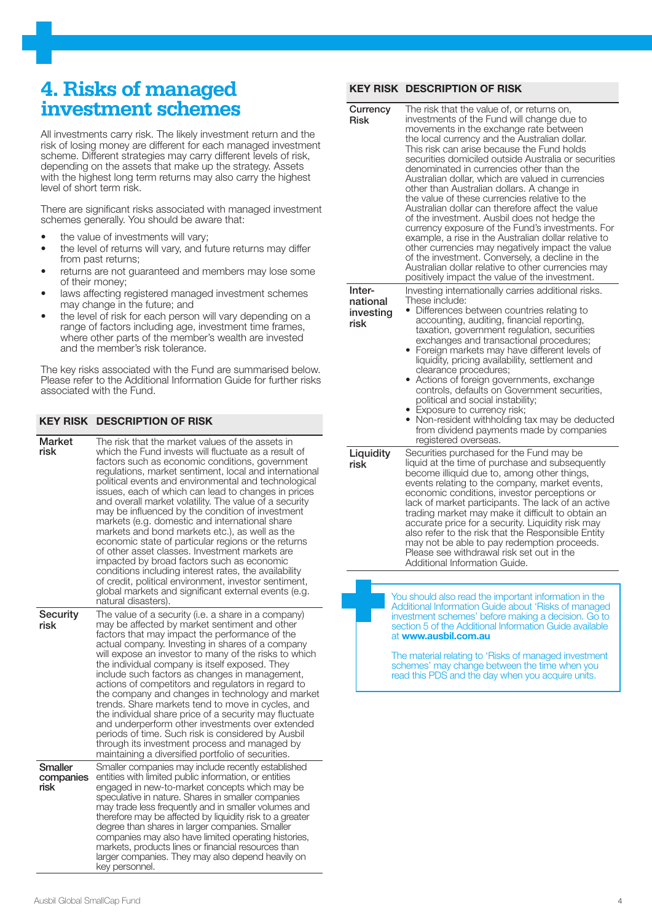# **4. Risks of managed investment schemes**

All investments carry risk. The likely investment return and the risk of losing money are different for each managed investment scheme. Different strategies may carry different levels of risk, depending on the assets that make up the strategy. Assets with the highest long term returns may also carry the highest level of short term risk.

There are significant risks associated with managed investment schemes generally. You should be aware that:

- the value of investments will vary:
- the level of returns will vary, and future returns may differ from past returns;
- returns are not guaranteed and members may lose some of their money;
- laws affecting registered managed investment schemes may change in the future; and
- the level of risk for each person will vary depending on a range of factors including age, investment time frames, where other parts of the member's wealth are invested and the member's risk tolerance.

The key risks associated with the Fund are summarised below. Please refer to the Additional Information Guide for further risks associated with the Fund.

## KEY RISK DESCRIPTION OF RISK

| <b>Market</b><br>risk               | The risk that the market values of the assets in<br>which the Fund invests will fluctuate as a result of<br>factors such as economic conditions, government<br>regulations, market sentiment, local and international<br>political events and environmental and technological<br>issues, each of which can lead to changes in prices<br>and overall market volatility. The value of a security<br>may be influenced by the condition of investment<br>markets (e.g. domestic and international share<br>markets and bond markets etc.), as well as the<br>economic state of particular regions or the returns<br>of other asset classes. Investment markets are<br>impacted by broad factors such as economic<br>conditions including interest rates, the availability<br>of credit, political environment, investor sentiment,<br>global markets and significant external events (e.g.<br>natural disasters). |
|-------------------------------------|----------------------------------------------------------------------------------------------------------------------------------------------------------------------------------------------------------------------------------------------------------------------------------------------------------------------------------------------------------------------------------------------------------------------------------------------------------------------------------------------------------------------------------------------------------------------------------------------------------------------------------------------------------------------------------------------------------------------------------------------------------------------------------------------------------------------------------------------------------------------------------------------------------------|
| <b>Security</b><br>risk             | The value of a security (i.e. a share in a company)<br>may be affected by market sentiment and other<br>factors that may impact the performance of the<br>actual company. Investing in shares of a company<br>will expose an investor to many of the risks to which<br>the individual company is itself exposed. They<br>include such factors as changes in management,<br>actions of competitors and regulators in regard to<br>the company and changes in technology and market<br>trends. Share markets tend to move in cycles, and<br>the individual share price of a security may fluctuate<br>and underperform other investments over extended<br>periods of time. Such risk is considered by Ausbil<br>through its investment process and managed by<br>maintaining a diversified portfolio of securities.                                                                                              |
| <b>Smaller</b><br>companies<br>risk | Smaller companies may include recently established<br>entities with limited public information, or entities<br>engaged in new-to-market concepts which may be<br>speculative in nature. Shares in smaller companies<br>may trade less frequently and in smaller volumes and<br>therefore may be affected by liquidity risk to a greater<br>degree than shares in larger companies. Smaller<br>companies may also have limited operating histories,<br>markets, products lines or financial resources than<br>larger companies. They may also depend heavily on<br>key personnel.                                                                                                                                                                                                                                                                                                                               |

#### KEY RISK DESCRIPTION OF RISK

| Currency<br><b>Risk</b>                 | The risk that the value of, or returns on,<br>investments of the Fund will change due to<br>movements in the exchange rate between<br>the local currency and the Australian dollar.<br>This risk can arise because the Fund holds<br>securities domiciled outside Australia or securities<br>denominated in currencies other than the<br>Australian dollar, which are valued in currencies<br>other than Australian dollars. A change in<br>the value of these currencies relative to the<br>Australian dollar can therefore affect the value<br>of the investment. Ausbil does not hedge the<br>currency exposure of the Fund's investments. For<br>example, a rise in the Australian dollar relative to<br>other currencies may negatively impact the value<br>of the investment. Conversely, a decline in the<br>Australian dollar relative to other currencies may<br>positively impact the value of the investment. |
|-----------------------------------------|--------------------------------------------------------------------------------------------------------------------------------------------------------------------------------------------------------------------------------------------------------------------------------------------------------------------------------------------------------------------------------------------------------------------------------------------------------------------------------------------------------------------------------------------------------------------------------------------------------------------------------------------------------------------------------------------------------------------------------------------------------------------------------------------------------------------------------------------------------------------------------------------------------------------------|
| Inter-<br>national<br>investing<br>risk | Investing internationally carries additional risks.<br>These include:<br>Differences between countries relating to<br>accounting, auditing, financial reporting,<br>taxation, government regulation, securities<br>exchanges and transactional procedures;<br>Foreign markets may have different levels of<br>liquidity, pricing availability, settlement and<br>clearance procedures;<br>Actions of foreign governments, exchange<br>controls, defaults on Government securities,<br>political and social instability;<br>• Exposure to currency risk;<br>Non-resident withholding tax may be deducted<br>$\bullet$<br>from dividend payments made by companies<br>registered overseas.                                                                                                                                                                                                                                 |
| Liquidity<br>risk                       | Securities purchased for the Fund may be<br>liquid at the time of purchase and subsequently<br>become illiquid due to, among other things,<br>events relating to the company, market events,<br>economic conditions, investor perceptions or<br>lack of market participants. The lack of an active<br>trading market may make it difficult to obtain an<br>accurate price for a security. Liquidity risk may<br>also refer to the risk that the Responsible Entity<br>may not be able to pay redemption proceeds.<br>Please see withdrawal risk set out in the<br>Additional Information Guide.                                                                                                                                                                                                                                                                                                                          |
|                                         | You should also read the important information in the                                                                                                                                                                                                                                                                                                                                                                                                                                                                                                                                                                                                                                                                                                                                                                                                                                                                    |

Additional Information Guide about 'Risks of managed investment schemes' before making a decision. Go to section 5 of the Additional Information Guide available at www.ausbil.com.au

The material relating to 'Risks of managed investment schemes' may change between the time when you read this PDS and the day when you acquire units.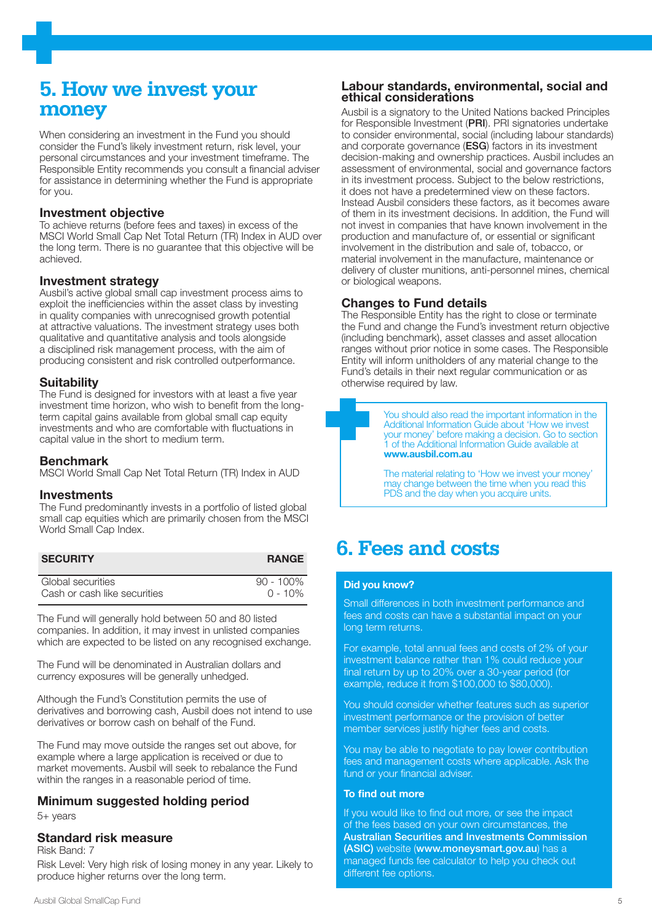# **5. How we invest your money**

When considering an investment in the Fund you should consider the Fund's likely investment return, risk level, your personal circumstances and your investment timeframe. The Responsible Entity recommends you consult a financial adviser for assistance in determining whether the Fund is appropriate for you.

#### Investment objective

To achieve returns (before fees and taxes) in excess of the MSCI World Small Cap Net Total Return (TR) Index in AUD over the long term. There is no guarantee that this objective will be achieved.

#### Investment strategy

Ausbil's active global small cap investment process aims to exploit the inefficiencies within the asset class by investing in quality companies with unrecognised growth potential at attractive valuations. The investment strategy uses both qualitative and quantitative analysis and tools alongside a disciplined risk management process, with the aim of producing consistent and risk controlled outperformance.

#### **Suitability**

The Fund is designed for investors with at least a five year investment time horizon, who wish to benefit from the longterm capital gains available from global small cap equity investments and who are comfortable with fluctuations in capital value in the short to medium term.

#### Benchmark

MSCI World Small Cap Net Total Return (TR) Index in AUD

#### **Investments**

The Fund predominantly invests in a portfolio of listed global small cap equities which are primarily chosen from the MSCI World Small Cap Index.

| <b>SECURITY</b>              | <b>RANGE</b> |
|------------------------------|--------------|
| Global securities            | $90 - 100\%$ |
| Cash or cash like securities | $0 - 10\%$   |

The Fund will generally hold between 50 and 80 listed companies. In addition, it may invest in unlisted companies which are expected to be listed on any recognised exchange.

The Fund will be denominated in Australian dollars and currency exposures will be generally unhedged.

Although the Fund's Constitution permits the use of derivatives and borrowing cash, Ausbil does not intend to use derivatives or borrow cash on behalf of the Fund.

The Fund may move outside the ranges set out above, for example where a large application is received or due to market movements. Ausbil will seek to rebalance the Fund within the ranges in a reasonable period of time.

## Minimum suggested holding period

5+ years

## Standard risk measure

Risk Band: 7

Risk Level: Very high risk of losing money in any year. Likely to produce higher returns over the long term.

#### Labour standards, environmental, social and ethical considerations

Ausbil is a signatory to the United Nations backed Principles for Responsible Investment (PRI). PRI signatories undertake to consider environmental, social (including labour standards) and corporate governance (ESG) factors in its investment decision-making and ownership practices. Ausbil includes an assessment of environmental, social and governance factors in its investment process. Subject to the below restrictions, it does not have a predetermined view on these factors. Instead Ausbil considers these factors, as it becomes aware of them in its investment decisions. In addition, the Fund will not invest in companies that have known involvement in the production and manufacture of, or essential or significant involvement in the distribution and sale of, tobacco, or material involvement in the manufacture, maintenance or delivery of cluster munitions, anti-personnel mines, chemical or biological weapons.

## Changes to Fund details

The Responsible Entity has the right to close or terminate the Fund and change the Fund's investment return objective (including benchmark), asset classes and asset allocation ranges without prior notice in some cases. The Responsible Entity will inform unitholders of any material change to the Fund's details in their next regular communication or as otherwise required by law.

You should also read the important information in the Additional Information Guide about 'How we invest your money' before making a decision. Go to section 1 of the Additional Information Guide available at www.ausbil.com.au The material relating to 'How we invest your money'

may change between the time when you read this PDS and the day when you acquire units.

# **6. Fees and costs**

#### Did you know?

Small differences in both investment performance and fees and costs can have a substantial impact on your long term returns.

For example, total annual fees and costs of 2% of your investment balance rather than 1% could reduce your final return by up to 20% over a 30-year period (for example, reduce it from \$100,000 to \$80,000).

You should consider whether features such as superior investment performance or the provision of better member services justify higher fees and costs.

You may be able to negotiate to pay lower contribution fees and management costs where applicable. Ask the fund or your financial adviser.

#### To find out more

If you would like to find out more, or see the impact of the fees based on your own circumstances, the Australian Securities and Investments Commission (ASIC) website (www.moneysmart.gov.au) has a managed funds fee calculator to help you check out different fee options.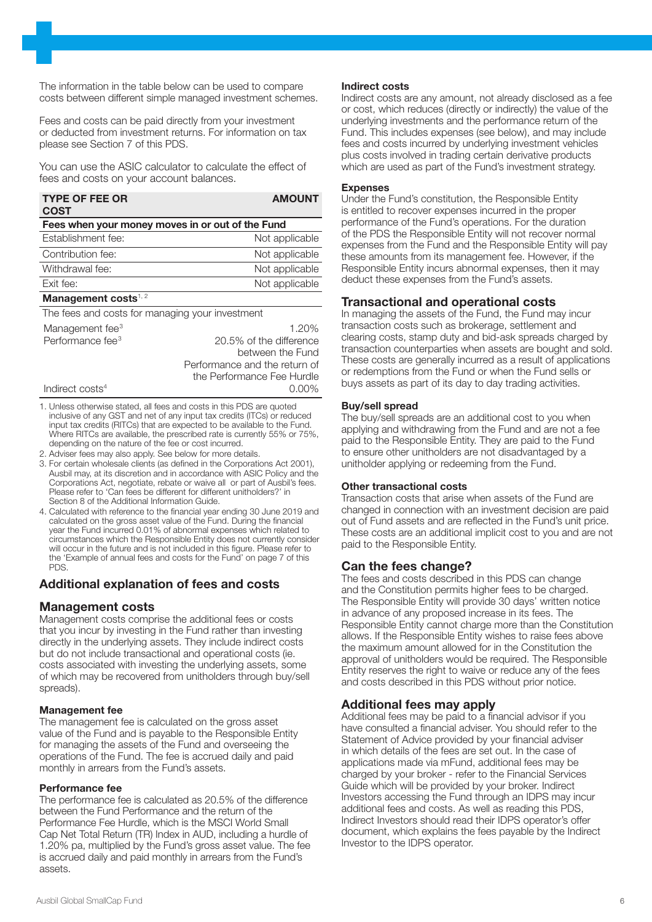The information in the table below can be used to compare costs between different simple managed investment schemes.

Fees and costs can be paid directly from your investment or deducted from investment returns. For information on tax please see Section 7 of this PDS.

You can use the ASIC calculator to calculate the effect of fees and costs on your account balances.

| <b>TYPE OF FEE OR</b><br><b>COST</b>             | <b>AMOUNT</b>                 |  |  |
|--------------------------------------------------|-------------------------------|--|--|
| Fees when your money moves in or out of the Fund |                               |  |  |
| Establishment fee:                               | Not applicable                |  |  |
| Contribution fee:                                | Not applicable                |  |  |
| Withdrawal fee:                                  | Not applicable                |  |  |
| Exit fee:                                        | Not applicable                |  |  |
| Management costs $1, 2$                          |                               |  |  |
| The fees and costs for managing your investment  |                               |  |  |
| Management fee <sup>3</sup>                      | 1.20%                         |  |  |
| Performance fee <sup>3</sup>                     | 20.5% of the difference       |  |  |
|                                                  | between the Fund              |  |  |
|                                                  | Performance and the return of |  |  |
|                                                  | the Performance Fee Hurdle    |  |  |

Indirect costs4 0.00% 1. Unless otherwise stated, all fees and costs in this PDS are quoted inclusive of any GST and net of any input tax credits (ITCs) or reduced input tax credits (RITCs) that are expected to be available to the Fund.

Where RITCs are available, the prescribed rate is currently 55% or 75%, depending on the nature of the fee or cost incurred.

- 2. Adviser fees may also apply. See below for more details.
- 3. For certain wholesale clients (as defined in the Corporations Act 2001), Ausbil may, at its discretion and in accordance with ASIC Policy and the Corporations Act, negotiate, rebate or waive all or part of Ausbil's fees. Please refer to 'Can fees be different for different unitholders?' in Section 8 of the Additional Information Guide.
- 4. Calculated with reference to the financial year ending 30 June 2019 and calculated on the gross asset value of the Fund. During the financial year the Fund incurred 0.01% of abnormal expenses which related to circumstances which the Responsible Entity does not currently consider will occur in the future and is not included in this figure. Please refer to the 'Example of annual fees and costs for the Fund' on page 7 of this PDS.

## Additional explanation of fees and costs

## Management costs

Management costs comprise the additional fees or costs that you incur by investing in the Fund rather than investing directly in the underlying assets. They include indirect costs but do not include transactional and operational costs (ie. costs associated with investing the underlying assets, some of which may be recovered from unitholders through buy/sell spreads).

#### Management fee

The management fee is calculated on the gross asset value of the Fund and is payable to the Responsible Entity for managing the assets of the Fund and overseeing the operations of the Fund. The fee is accrued daily and paid monthly in arrears from the Fund's assets.

#### Performance fee

The performance fee is calculated as 20.5% of the difference between the Fund Performance and the return of the Performance Fee Hurdle, which is the MSCI World Small Cap Net Total Return (TR) Index in AUD, including a hurdle of 1.20% pa, multiplied by the Fund's gross asset value. The fee is accrued daily and paid monthly in arrears from the Fund's assets.

#### Indirect costs

Indirect costs are any amount, not already disclosed as a fee or cost, which reduces (directly or indirectly) the value of the underlying investments and the performance return of the Fund. This includes expenses (see below), and may include fees and costs incurred by underlying investment vehicles plus costs involved in trading certain derivative products which are used as part of the Fund's investment strategy.

#### Expenses

Under the Fund's constitution, the Responsible Entity is entitled to recover expenses incurred in the proper performance of the Fund's operations. For the duration of the PDS the Responsible Entity will not recover normal expenses from the Fund and the Responsible Entity will pay these amounts from its management fee. However, if the Responsible Entity incurs abnormal expenses, then it may deduct these expenses from the Fund's assets.

# Transactional and operational costs

In managing the assets of the Fund, the Fund may incur transaction costs such as brokerage, settlement and clearing costs, stamp duty and bid-ask spreads charged by transaction counterparties when assets are bought and sold. These costs are generally incurred as a result of applications or redemptions from the Fund or when the Fund sells or buys assets as part of its day to day trading activities.

#### Buy/sell spread

The buy/sell spreads are an additional cost to you when applying and withdrawing from the Fund and are not a fee paid to the Responsible Entity. They are paid to the Fund to ensure other unitholders are not disadvantaged by a unitholder applying or redeeming from the Fund.

#### Other transactional costs

Transaction costs that arise when assets of the Fund are changed in connection with an investment decision are paid out of Fund assets and are reflected in the Fund's unit price. These costs are an additional implicit cost to you and are not paid to the Responsible Entity.

## Can the fees change?

The fees and costs described in this PDS can change and the Constitution permits higher fees to be charged. The Responsible Entity will provide 30 days' written notice in advance of any proposed increase in its fees. The Responsible Entity cannot charge more than the Constitution allows. If the Responsible Entity wishes to raise fees above the maximum amount allowed for in the Constitution the approval of unitholders would be required. The Responsible Entity reserves the right to waive or reduce any of the fees and costs described in this PDS without prior notice.

# Additional fees may apply

Additional fees may be paid to a financial advisor if you have consulted a financial adviser. You should refer to the Statement of Advice provided by your financial adviser in which details of the fees are set out. In the case of applications made via mFund, additional fees may be charged by your broker - refer to the Financial Services Guide which will be provided by your broker. Indirect Investors accessing the Fund through an IDPS may incur additional fees and costs. As well as reading this PDS, Indirect Investors should read their IDPS operator's offer document, which explains the fees payable by the Indirect Investor to the IDPS operator.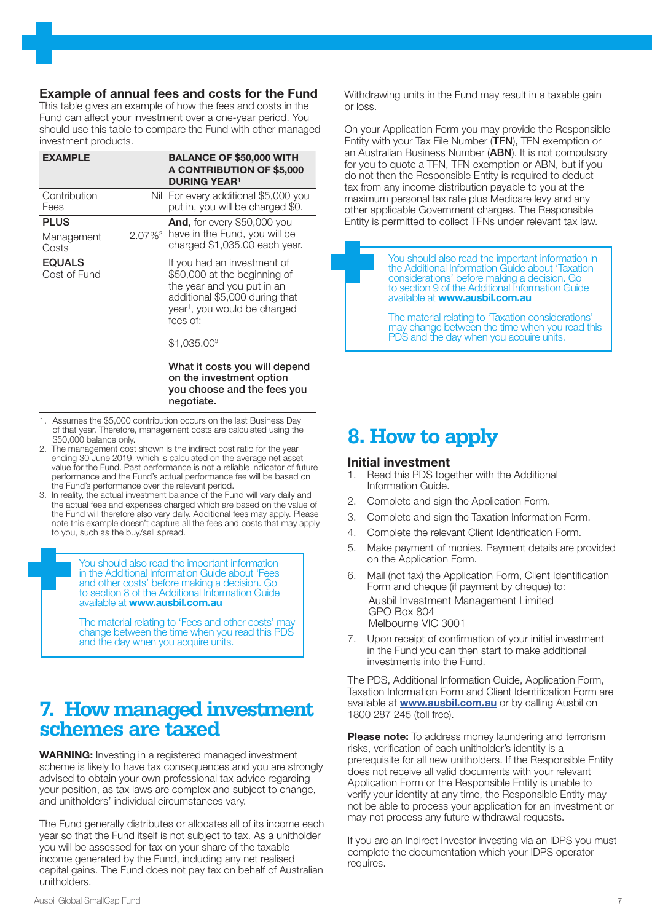#### Example of annual fees and costs for the Fund

This table gives an example of how the fees and costs in the Fund can affect your investment over a one-year period. You should use this table to compare the Fund with other managed investment products.

| <b>EXAMPLE</b>                     | <b>BALANCE OF \$50,000 WITH</b><br>A CONTRIBUTION OF \$5,000<br><b>DURING YEAR<sup>1</sup></b>                                                                                      |
|------------------------------------|-------------------------------------------------------------------------------------------------------------------------------------------------------------------------------------|
| Contribution<br>Fees               | Nil For every additional \$5,000 you<br>put in, you will be charged \$0.                                                                                                            |
| <b>PLUS</b><br>Management<br>Costs | <b>And,</b> for every \$50,000 you<br>2.07% <sup>2</sup> have in the Fund, you will be<br>charged \$1,035.00 each year.                                                             |
| <b>EQUALS</b><br>Cost of Fund      | If you had an investment of<br>\$50,000 at the beginning of<br>the year and you put in an<br>additional \$5,000 during that<br>year <sup>1</sup> , you would be charged<br>fees of: |
|                                    | \$1,035,00 <sup>3</sup>                                                                                                                                                             |

What it costs you will depend on the investment option you choose and the fees you negotiate.

- 1. Assumes the \$5,000 contribution occurs on the last Business Day of that year. Therefore, management costs are calculated using the \$50,000 balance only.
- 2. The management cost shown is the indirect cost ratio for the year ending 30 June 2019, which is calculated on the average net asset value for the Fund. Past performance is not a reliable indicator of future performance and the Fund's actual performance fee will be based on the Fund's performance over the relevant period.
- 3. In reality, the actual investment balance of the Fund will vary daily and the actual fees and expenses charged which are based on the value of the Fund will therefore also vary daily. Additional fees may apply. Please note this example doesn't capture all the fees and costs that may apply to you, such as the buy/sell spread.

You should also read the important information in the Additional Information Guide about 'Fees and other costs' before making a decision. Go to section 8 of the Additional Information Guide available at www.ausbil.com.au

The material relating to 'Fees and other costs' may change between the time when you read this PDS and the day when you acquire units.

# **7. How managed investment schemes are taxed**

WARNING: Investing in a registered managed investment scheme is likely to have tax consequences and you are strongly advised to obtain your own professional tax advice regarding your position, as tax laws are complex and subject to change, and unitholders' individual circumstances vary.

The Fund generally distributes or allocates all of its income each year so that the Fund itself is not subject to tax. As a unitholder you will be assessed for tax on your share of the taxable income generated by the Fund, including any net realised capital gains. The Fund does not pay tax on behalf of Australian unitholders.

Withdrawing units in the Fund may result in a taxable gain or loss.

On your Application Form you may provide the Responsible Entity with your Tax File Number (TFN), TFN exemption or an Australian Business Number (ABN). It is not compulsory for you to quote a TFN, TFN exemption or ABN, but if you do not then the Responsible Entity is required to deduct tax from any income distribution payable to you at the maximum personal tax rate plus Medicare levy and any other applicable Government charges. The Responsible Entity is permitted to collect TFNs under relevant tax law.

> You should also read the important information in the Additional Information Guide about 'Taxation considerations' before making a decision. Go to section 9 of the Additional Information Guide available at www.ausbil.com.au

The material relating to 'Taxation considerations' may change between the time when you read this PDS and the day when you acquire units.

# **8. How to apply**

#### Initial investment

- 1. Read this PDS together with the Additional Information Guide.
- 2. Complete and sign the Application Form.
- 3. Complete and sign the Taxation Information Form.
- 4. Complete the relevant Client Identification Form.
- 5. Make payment of monies. Payment details are provided on the Application Form.
- 6. Mail (not fax) the Application Form, Client Identification Form and cheque (if payment by cheque) to: Ausbil Investment Management Limited GPO Box 804 Melbourne VIC 3001
- 7. Upon receipt of confirmation of your initial investment in the Fund you can then start to make additional investments into the Fund.

The PDS, Additional Information Guide, Application Form, Taxation Information Form and Client Identification Form are available at **www.ausbil.com.au** or by calling Ausbil on 1800 287 245 (toll free).

Please note: To address money laundering and terrorism risks, verification of each unitholder's identity is a prerequisite for all new unitholders. If the Responsible Entity does not receive all valid documents with your relevant Application Form or the Responsible Entity is unable to verify your identity at any time, the Responsible Entity may not be able to process your application for an investment or may not process any future withdrawal requests.

If you are an Indirect Investor investing via an IDPS you must complete the documentation which your IDPS operator requires.